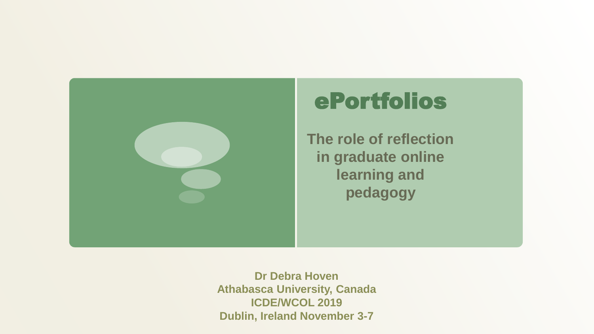

# ePortfolios

**The role of reflection in graduate online learning and pedagogy**

**Dr Debra Hoven Athabasca University, Canada ICDE/WCOL 2019 Dublin, Ireland November 3-7**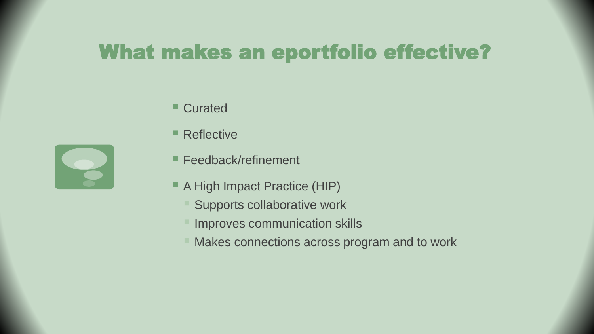## What makes an eportfolio effective?

- Curated
- Reflective
- Feedback/refinement
- A High Impact Practice (HIP)
	- Supports collaborative work
	- **Improves communication skills**
	- Makes connections across program and to work

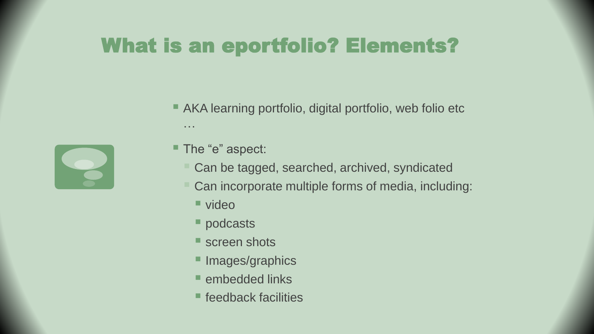# What is an eportfolio? Elements?

■ AKA learning portfolio, digital portfolio, web folio etc …



- The "e" aspect:
	- Can be tagged, searched, archived, syndicated
	- Can incorporate multiple forms of media, including:
		- video
		- podcasts
		- Screen shots
		- **Images/graphics**
		- **E** embedded links
		- feedback facilities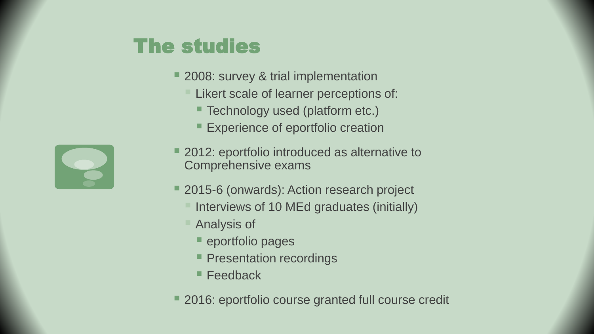# The studies

- 2008: survey & trial implementation
	- Likert scale of learner perceptions of:
		- Technology used (platform etc.)
		- **Experience of eportfolio creation**
- 2012: eportfolio introduced as alternative to Comprehensive exams
- 2015-6 (onwards): Action research project
	- Interviews of 10 MEd graduates (initially)
	- Analysis of
		- eportfolio pages
		- **Presentation recordings**
		- Feedback
- 2016: eportfolio course granted full course credit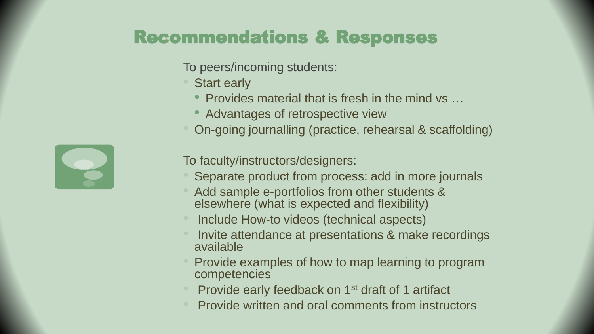#### Recommendations & Responses

To peers/incoming students:

**Start early** 

- Provides material that is fresh in the mind vs …
- Advantages of retrospective view
- On-going journalling (practice, rehearsal & scaffolding)

To faculty/instructors/designers:

- Separate product from process: add in more journals
- Add sample e-portfolios from other students & elsewhere (what is expected and flexibility)
- Include How-to videos (technical aspects)
- Invite attendance at presentations & make recordings available
- Provide examples of how to map learning to program competencies
- Provide early feedback on 1st draft of 1 artifact
- Provide written and oral comments from instructors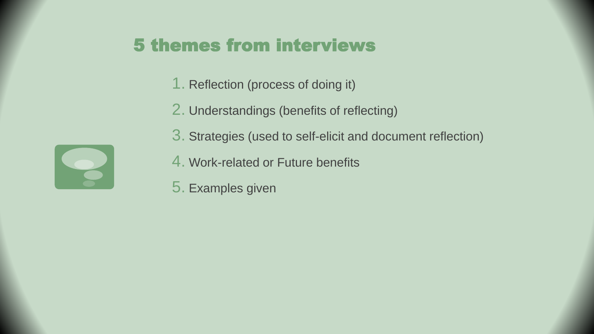#### 5 themes from interviews

- 1. Reflection (process of doing it)
- 2. Understandings (benefits of reflecting)
- 3. Strategies (used to self-elicit and document reflection)
- 4. Work-related or Future benefits
- 5. Examples given

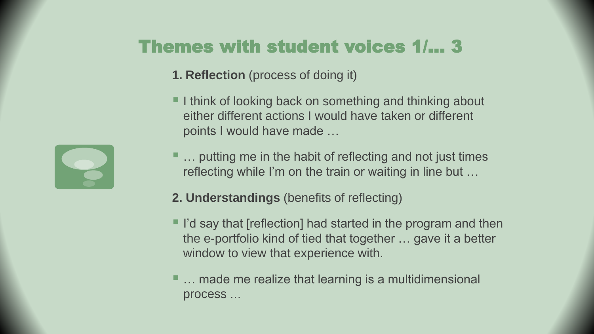## Themes with student voices 1/… 3

- **1. Reflection** (process of doing it)
- **I** think of looking back on something and thinking about either different actions I would have taken or different points I would have made …
- … putting me in the habit of reflecting and not just times reflecting while I'm on the train or waiting in line but …
- **2. Understandings** (benefits of reflecting)
- I'd say that [reflection] had started in the program and then the e-portfolio kind of tied that together … gave it a better window to view that experience with.
- … made me realize that learning is a multidimensional process …

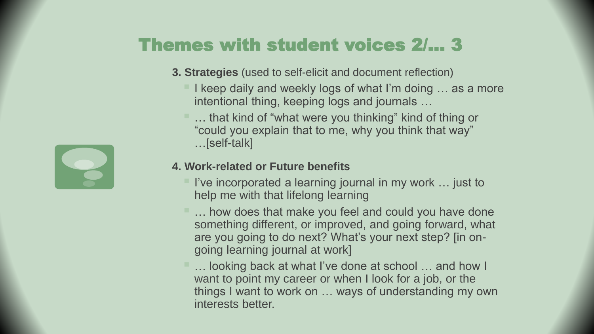## Themes with student voices 2/… 3

- **3. Strategies** (used to self-elicit and document reflection)
	- I keep daily and weekly logs of what I'm doing  $\dots$  as a more intentional thing, keeping logs and journals …
	- ... that kind of "what were you thinking" kind of thing or "could you explain that to me, why you think that way" …[self-talk]

#### **4. Work-related or Future benefits**

- $\blacksquare$  I've incorporated a learning journal in my work ... just to help me with that lifelong learning
- … how does that make you feel and could you have done something different, or improved, and going forward, what are you going to do next? What's your next step? [in ongoing learning journal at work]
- … looking back at what I've done at school … and how I want to point my career or when I look for a job, or the things I want to work on … ways of understanding my own interests better.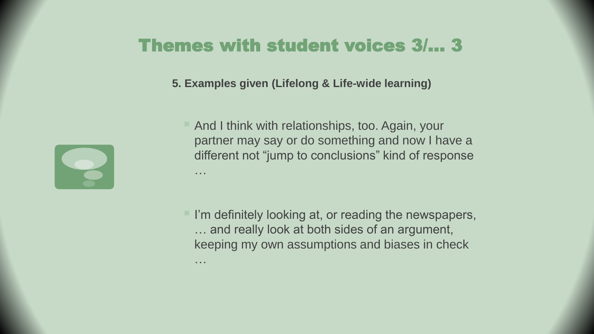#### Themes with student voices 3/… 3

**5. Examples given (Lifelong & Life-wide learning)**



…

 And I think with relationships, too. Again, your partner may say or do something and now I have a different not "jump to conclusions" kind of response …

 $\blacksquare$  I'm definitely looking at, or reading the newspapers, … and really look at both sides of an argument, keeping my own assumptions and biases in check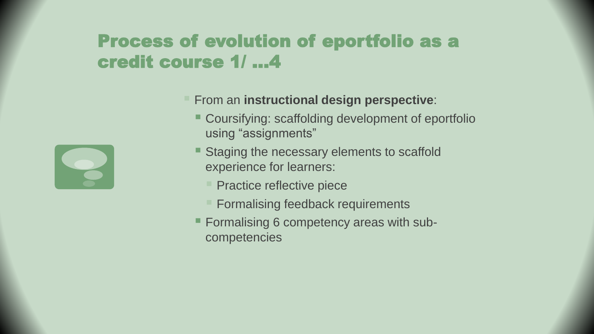#### Process of evolution of eportfolio as a credit course 1/ …4



- From an **instructional design perspective**:
	- Coursifying: scaffolding development of eportfolio using "assignments"
	- Staging the necessary elements to scaffold experience for learners:
		- **Practice reflective piece**
		- Formalising feedback requirements
	- **Formalising 6 competency areas with sub**competencies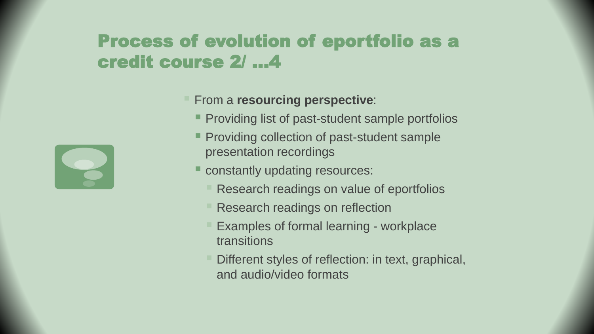#### Process of evolution of eportfolio as a credit course 2/ …4

#### **Firm a resourcing perspective:**

- **Providing list of past-student sample portfolios**
- **Providing collection of past-student sample** presentation recordings
- constantly updating resources:
	- Research readings on value of eportfolios
	- Research readings on reflection
	- Examples of formal learning workplace transitions
	- Different styles of reflection: in text, graphical, and audio/video formats

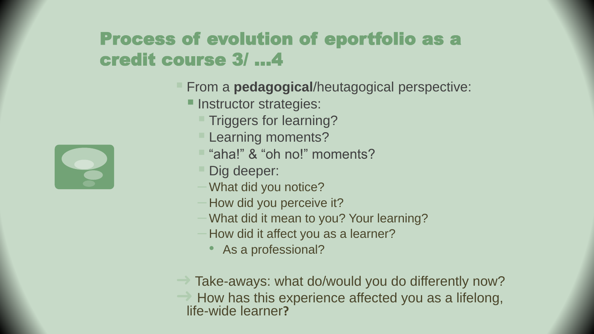#### Process of evolution of eportfolio as a credit course 3/ …4

- From a **pedagogical**/heutagogical perspective:
	- **Instructor strategies:** 
		- **Triggers for learning?**
		- **Learning moments?**
		- "aha!" & "oh no!" moments?
		- Dig deeper:
		- What did you notice?
		- How did you perceive it?
		- What did it mean to you? Your learning?
		- How did it affect you as a learner?
			- As a professional?
- $\rightarrow$  Take-aways: what do/would you do differently now? How has this experience affected you as a lifelong, life-wide learner**?**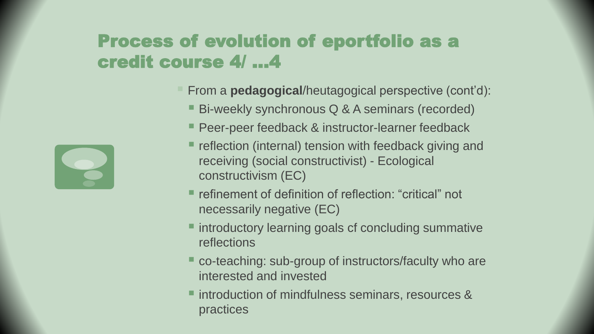#### Process of evolution of eportfolio as a credit course 4/ …4

- From a **pedagogical**/heutagogical perspective (cont'd):
	- Bi-weekly synchronous Q & A seminars (recorded)
	- Peer-peer feedback & instructor-learner feedback
	- $\blacksquare$  reflection (internal) tension with feedback giving and receiving (social constructivist) - Ecological constructivism (EC)
	- refinement of definition of reflection: "critical" not necessarily negative (EC)
	- **If** introductory learning goals cf concluding summative reflections
	- co-teaching: sub-group of instructors/faculty who are interested and invested
	- **Introduction of mindfulness seminars, resources &** practices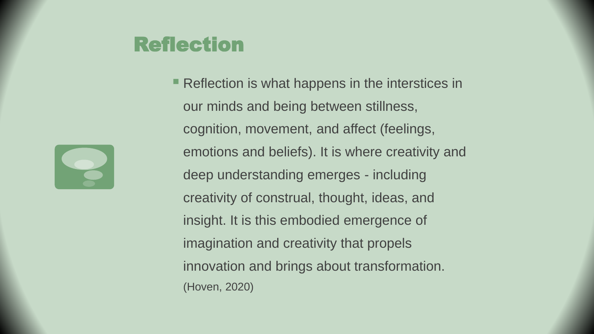# Reflection

**Reflection is what happens in the interstices in** our minds and being between stillness, cognition, movement, and affect (feelings, emotions and beliefs). It is where creativity and deep understanding emerges - including creativity of construal, thought, ideas, and insight. It is this embodied emergence of imagination and creativity that propels innovation and brings about transformation. (Hoven, 2020)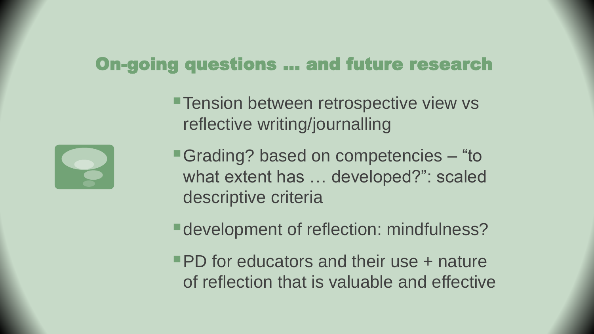#### On-going questions … and future research

**Tension between retrospective view vs** reflective writing/journalling

■Grading? based on competencies – "to what extent has … developed?": scaled descriptive criteria

**E** development of reflection: mindfulness?

**PD** for educators and their use + nature of reflection that is valuable and effective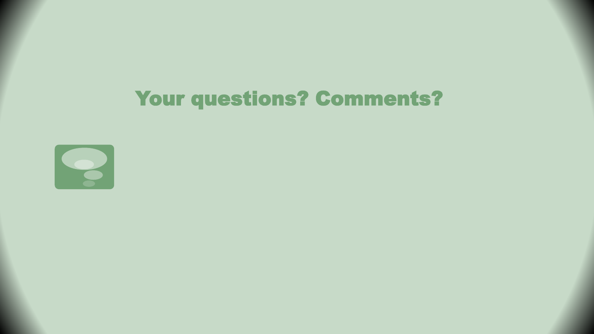# Your questions? Comments?